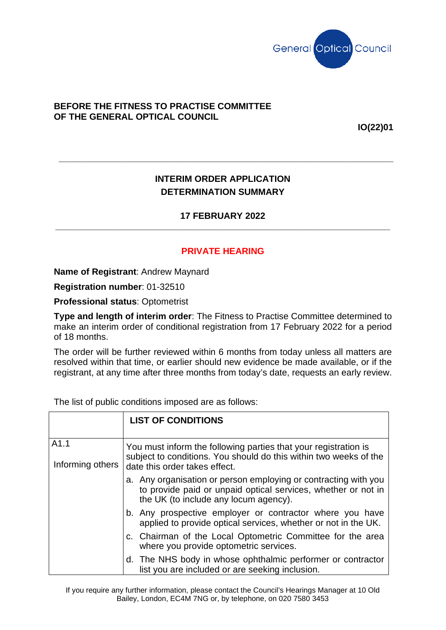

## **BEFORE THE FITNESS TO PRACTISE COMMITTEE OF THE GENERAL OPTICAL COUNCIL**

**IO(22)01**

## **INTERIM ORDER APPLICATION DETERMINATION SUMMARY**

**\_\_\_\_\_\_\_\_\_\_\_\_\_\_\_\_\_\_\_\_\_\_\_\_\_\_\_\_\_\_\_\_\_\_\_\_\_\_\_\_\_\_\_\_\_\_\_\_\_\_\_\_\_\_\_\_\_\_\_\_\_\_\_\_\_\_\_**

## **17 FEBRUARY 2022 \_\_\_\_\_\_\_\_\_\_\_\_\_\_\_\_\_\_\_\_\_\_\_\_\_\_\_\_\_\_\_\_\_\_\_\_\_\_\_\_\_\_\_\_\_\_\_\_\_\_\_\_\_\_\_\_\_\_\_\_\_\_\_\_\_\_\_**

## **PRIVATE HEARING**

**Name of Registrant**: Andrew Maynard

**Registration number**: 01-32510

**Professional status**: Optometrist

**Type and length of interim order**: The Fitness to Practise Committee determined to make an interim order of conditional registration from 17 February 2022 for a period of 18 months.

The order will be further reviewed within 6 months from today unless all matters are resolved within that time, or earlier should new evidence be made available, or if the registrant, at any time after three months from today's date, requests an early review.

The list of public conditions imposed are as follows:

|                          | <b>LIST OF CONDITIONS</b>                                                                                                                                                 |  |
|--------------------------|---------------------------------------------------------------------------------------------------------------------------------------------------------------------------|--|
| A1.1<br>Informing others | You must inform the following parties that your registration is<br>subject to conditions. You should do this within two weeks of the<br>date this order takes effect.     |  |
|                          | a. Any organisation or person employing or contracting with you<br>to provide paid or unpaid optical services, whether or not in<br>the UK (to include any locum agency). |  |
|                          | b. Any prospective employer or contractor where you have<br>applied to provide optical services, whether or not in the UK.                                                |  |
|                          | c. Chairman of the Local Optometric Committee for the area<br>where you provide optometric services.                                                                      |  |
|                          | d. The NHS body in whose ophthalmic performer or contractor<br>list you are included or are seeking inclusion.                                                            |  |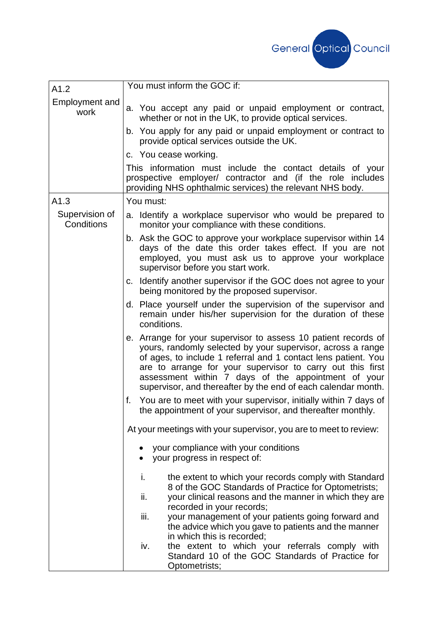

| A1.2                          | You must inform the GOC if:                                                                                                                                                                                                                                                                                                                                                           |
|-------------------------------|---------------------------------------------------------------------------------------------------------------------------------------------------------------------------------------------------------------------------------------------------------------------------------------------------------------------------------------------------------------------------------------|
| <b>Employment and</b><br>work | a. You accept any paid or unpaid employment or contract,<br>whether or not in the UK, to provide optical services.                                                                                                                                                                                                                                                                    |
|                               | b. You apply for any paid or unpaid employment or contract to<br>provide optical services outside the UK.                                                                                                                                                                                                                                                                             |
|                               | c. You cease working.                                                                                                                                                                                                                                                                                                                                                                 |
|                               | This information must include the contact details of your<br>prospective employer/ contractor and (if the role includes<br>providing NHS ophthalmic services) the relevant NHS body.                                                                                                                                                                                                  |
| A1.3                          | You must:                                                                                                                                                                                                                                                                                                                                                                             |
| Supervision of<br>Conditions  | a. Identify a workplace supervisor who would be prepared to<br>monitor your compliance with these conditions.                                                                                                                                                                                                                                                                         |
|                               | b. Ask the GOC to approve your workplace supervisor within 14<br>days of the date this order takes effect. If you are not<br>employed, you must ask us to approve your workplace<br>supervisor before you start work.                                                                                                                                                                 |
|                               | c. Identify another supervisor if the GOC does not agree to your<br>being monitored by the proposed supervisor.                                                                                                                                                                                                                                                                       |
|                               | d. Place yourself under the supervision of the supervisor and<br>remain under his/her supervision for the duration of these<br>conditions.                                                                                                                                                                                                                                            |
|                               | e. Arrange for your supervisor to assess 10 patient records of<br>yours, randomly selected by your supervisor, across a range<br>of ages, to include 1 referral and 1 contact lens patient. You<br>are to arrange for your supervisor to carry out this first<br>assessment within 7 days of the appointment of your<br>supervisor, and thereafter by the end of each calendar month. |
|                               | You are to meet with your supervisor, initially within 7 days of<br>f.<br>the appointment of your supervisor, and thereafter monthly.                                                                                                                                                                                                                                                 |
|                               | At your meetings with your supervisor, you are to meet to review:                                                                                                                                                                                                                                                                                                                     |
|                               | your compliance with your conditions<br>your progress in respect of:                                                                                                                                                                                                                                                                                                                  |
|                               | the extent to which your records comply with Standard<br>i.<br>8 of the GOC Standards of Practice for Optometrists;                                                                                                                                                                                                                                                                   |
|                               | your clinical reasons and the manner in which they are<br>ii.                                                                                                                                                                                                                                                                                                                         |
|                               | recorded in your records;<br>iii.<br>your management of your patients going forward and<br>the advice which you gave to patients and the manner<br>in which this is recorded;                                                                                                                                                                                                         |
|                               | the extent to which your referrals comply with<br>iv.<br>Standard 10 of the GOC Standards of Practice for<br>Optometrists;                                                                                                                                                                                                                                                            |